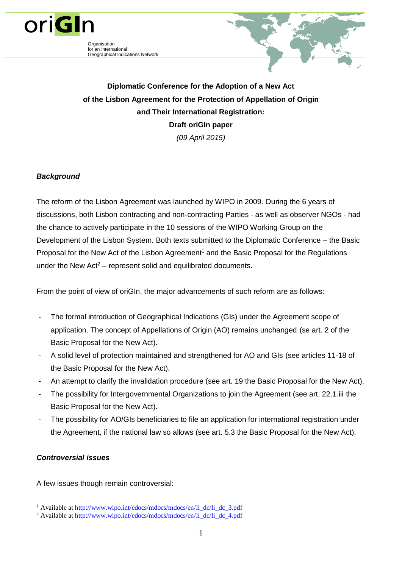

Organisation for an International Geographical Indications Network



**Diplomatic Conference for the Adoption of a New Act of the Lisbon Agreement for the Protection of Appellation of Origin and Their International Registration: Draft oriGIn paper**  *(09 April 2015)*

# *Background*

The reform of the Lisbon Agreement was launched by WIPO in 2009. During the 6 years of discussions, both Lisbon contracting and non-contracting Parties - as well as observer NGOs - had the chance to actively participate in the 10 sessions of the WIPO Working Group on the Development of the Lisbon System. Both texts submitted to the Diplomatic Conference – the Basic Proposal for the New Act of the Lisbon Agreement<sup>1</sup> and the Basic Proposal for the Regulations under the New  $Act^2$  – represent solid and equilibrated documents.

From the point of view of oriGIn, the major advancements of such reform are as follows:

- The formal introduction of Geographical Indications (GIs) under the Agreement scope of application. The concept of Appellations of Origin (AO) remains unchanged (se art. 2 of the Basic Proposal for the New Act).
- A solid level of protection maintained and strengthened for AO and GIs (see articles 11-18 of the Basic Proposal for the New Act).
- An attempt to clarify the invalidation procedure (see art. 19 the Basic Proposal for the New Act).
- The possibility for Intergovernmental Organizations to join the Agreement (see art. 22.1.iii the Basic Proposal for the New Act).
- The possibility for AO/GIs beneficiaries to file an application for international registration under the Agreement, if the national law so allows (see art. 5.3 the Basic Proposal for the New Act).

## *Controversial issues*

A few issues though remain controversial:

<sup>1</sup> <sup>1</sup> Available at [http://www.wipo.int/edocs/mdocs/mdocs/en/li\\_dc/li\\_dc\\_3.pdf](http://www.wipo.int/edocs/mdocs/mdocs/en/li_dc/li_dc_3.pdf)

<sup>&</sup>lt;sup>2</sup> Available at  $\frac{http://www.wipo.int/edocs/mdocs/mdocs/en/lidc/lidc4.pdf}{$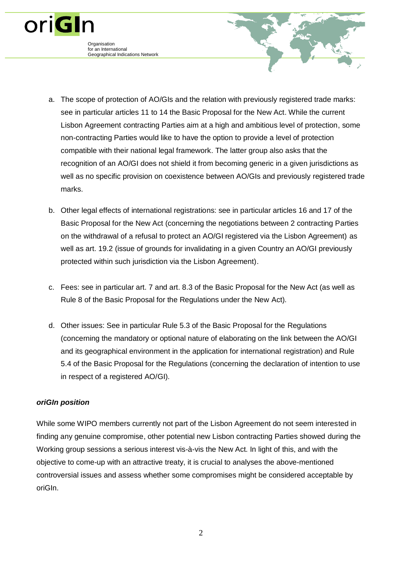- a. The scope of protection of AO/GIs and the relation with previously registered trade marks: see in particular articles 11 to 14 the Basic Proposal for the New Act. While the current Lisbon Agreement contracting Parties aim at a high and ambitious level of protection, some non-contracting Parties would like to have the option to provide a level of protection compatible with their national legal framework. The latter group also asks that the recognition of an AO/GI does not shield it from becoming generic in a given jurisdictions as well as no specific provision on coexistence between AO/GIs and previously registered trade marks.
- b. Other legal effects of international registrations: see in particular articles 16 and 17 of the Basic Proposal for the New Act (concerning the negotiations between 2 contracting Parties on the withdrawal of a refusal to protect an AO/GI registered via the Lisbon Agreement) as well as art. 19.2 (issue of grounds for invalidating in a given Country an AO/GI previously protected within such jurisdiction via the Lisbon Agreement).
- c. Fees: see in particular art. 7 and art. 8.3 of the Basic Proposal for the New Act (as well as Rule 8 of the Basic Proposal for the Regulations under the New Act).
- d. Other issues: See in particular Rule 5.3 of the Basic Proposal for the Regulations (concerning the mandatory or optional nature of elaborating on the link between the AO/GI and its geographical environment in the application for international registration) and Rule 5.4 of the Basic Proposal for the Regulations (concerning the declaration of intention to use in respect of a registered AO/GI).

### *oriGIn position*

**Organisation** for an International

oriGIn

Geographical Indications Network

While some WIPO members currently not part of the Lisbon Agreement do not seem interested in finding any genuine compromise, other potential new Lisbon contracting Parties showed during the Working group sessions a serious interest vis-à-vis the New Act. In light of this, and with the objective to come-up with an attractive treaty, it is crucial to analyses the above-mentioned controversial issues and assess whether some compromises might be considered acceptable by oriGIn.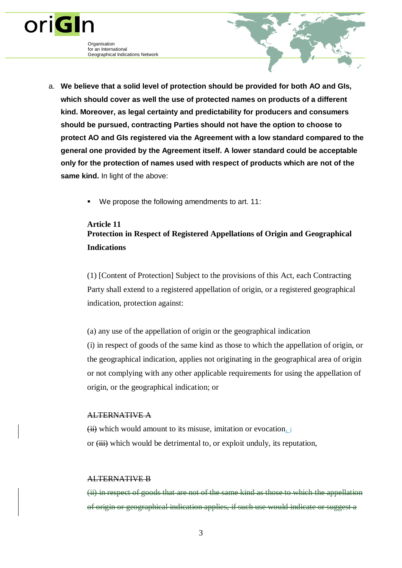**Organisation** for an International Geographical Indications Network

oriGIn

- a. **We believe that a solid level of protection should be provided for both AO and GIs, which should cover as well the use of protected names on products of a different kind. Moreover, as legal certainty and predictability for producers and consumers should be pursued, contracting Parties should not have the option to choose to protect AO and GIs registered via the Agreement with a low standard compared to the general one provided by the Agreement itself. A lower standard could be acceptable only for the protection of names used with respect of products which are not of the same kind.** In light of the above:
	- We propose the following amendments to art. 11:

# **Article 11 Protection in Respect of Registered Appellations of Origin and Geographical Indications**

(1) [Content of Protection] Subject to the provisions of this Act, each Contracting Party shall extend to a registered appellation of origin, or a registered geographical indication, protection against:

(a) any use of the appellation of origin or the geographical indication

(i) in respect of goods of the same kind as those to which the appellation of origin, or the geographical indication, applies not originating in the geographical area of origin or not complying with any other applicable requirements for using the appellation of origin, or the geographical indication; or

## ALTERNATIVE A

 $(ii)$  which would amount to its misuse, imitation or evocation,  $\frac{1}{2}$ or  $(iii)$  which would be detrimental to, or exploit unduly, its reputation,

### ALTERNATIVE B

(ii) in respect of goods that are not of the same kind as those to which the appellation of origin or geographical indication applies, if such use would indicate or suggest a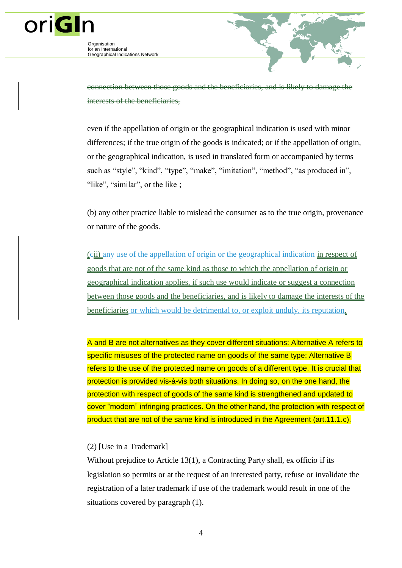

oriGIn

connection between those goods and the beneficiaries, and is likely to damage interests of the beneficiaries,

even if the appellation of origin or the geographical indication is used with minor differences; if the true origin of the goods is indicated; or if the appellation of origin, or the geographical indication, is used in translated form or accompanied by terms such as "style", "kind", "type", "make", "imitation", "method", "as produced in", "like", "similar", or the like;

(b) any other practice liable to mislead the consumer as to the true origin, provenance or nature of the goods.

(cii) any use of the appellation of origin or the geographical indication in respect of goods that are not of the same kind as those to which the appellation of origin or geographical indication applies, if such use would indicate or suggest a connection between those goods and the beneficiaries, and is likely to damage the interests of the beneficiaries or which would be detrimental to, or exploit unduly, its reputation $\overline{z}$ 

A and B are not alternatives as they cover different situations: Alternative A refers to specific misuses of the protected name on goods of the same type; Alternative B refers to the use of the protected name on goods of a different type. It is crucial that protection is provided vis-à-vis both situations. In doing so, on the one hand, the protection with respect of goods of the same kind is strengthened and updated to cover "modern" infringing practices. On the other hand, the protection with respect of product that are not of the same kind is introduced in the Agreement (art.11.1.c).

### (2) [Use in a Trademark]

Without prejudice to Article 13(1), a Contracting Party shall, ex officio if its legislation so permits or at the request of an interested party, refuse or invalidate the registration of a later trademark if use of the trademark would result in one of the situations covered by paragraph (1).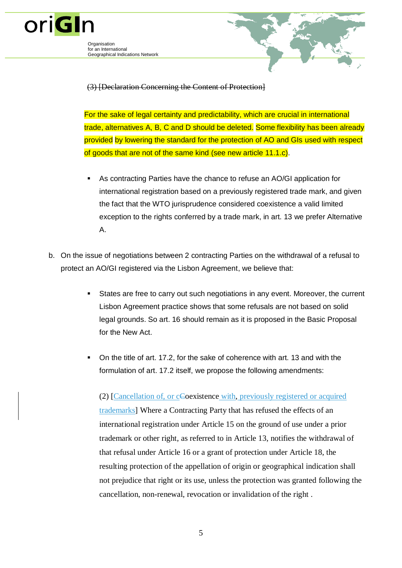

for an International Geographical Indications Network



# (3) [Declaration Concerning the Content of Protection]

For the sake of legal certainty and predictability, which are crucial in international trade, alternatives A, B, C and D should be deleted. Some flexibility has been already provided by lowering the standard for the protection of AO and GIs used with respect of goods that are not of the same kind (see new article 11.1.c).

- As contracting Parties have the chance to refuse an AO/GI application for international registration based on a previously registered trade mark, and given the fact that the WTO jurisprudence considered coexistence a valid limited exception to the rights conferred by a trade mark, in art. 13 we prefer Alternative A.
- b. On the issue of negotiations between 2 contracting Parties on the withdrawal of a refusal to protect an AO/GI registered via the Lisbon Agreement, we believe that:
	- States are free to carry out such negotiations in any event. Moreover, the current Lisbon Agreement practice shows that some refusals are not based on solid legal grounds. So art. 16 should remain as it is proposed in the Basic Proposal for the New Act.
	- On the title of art. 17.2, for the sake of coherence with art. 13 and with the formulation of art. 17.2 itself, we propose the following amendments:

(2) [Cancellation of, or cCoexistence with, previously registered or acquired trademarks] Where a Contracting Party that has refused the effects of an international registration under Article 15 on the ground of use under a prior trademark or other right, as referred to in Article 13, notifies the withdrawal of that refusal under Article 16 or a grant of protection under Article 18, the resulting protection of the appellation of origin or geographical indication shall not prejudice that right or its use, unless the protection was granted following the cancellation, non-renewal, revocation or invalidation of the right .